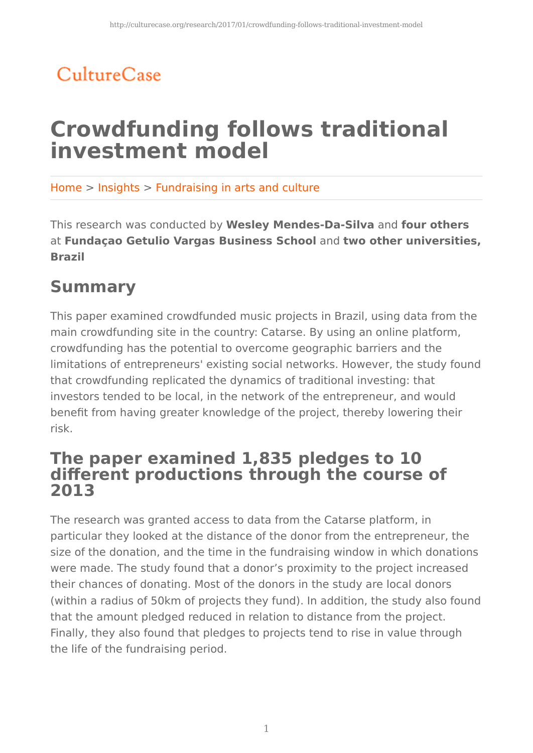# CultureCase

# **Crowdfunding follows traditional investment model**

Home > Insights > Fundraising in arts and culture

This research was conducted by **Wesley Mendes-Da-Silva** and **four others** at **Fundaçao Getulio Vargas Business School** and **two other universities, Brazil**

### **Summary**

This paper examined crowdfunded music projects in Brazil, using data from the main crowdfunding site in the country: Catarse. By using an online platform, crowdfunding has the potential to overcome geographic barriers and the limitations of entrepreneurs' existing social networks. However, the study found that crowdfunding replicated the dynamics of traditional investing: that investors tended to be local, in the network of the entrepreneur, and would benefit from having greater knowledge of the project, thereby lowering their risk.

### **The paper examined 1,835 pledges to 10 different productions through the course of 2013**

The research was granted access to data from the Catarse platform, in particular they looked at the distance of the donor from the entrepreneur, the size of the donation, and the time in the fundraising window in which donations were made. The study found that a donor's proximity to the project increased their chances of donating. Most of the donors in the study are local donors (within a radius of 50km of projects they fund). In addition, the study also found that the amount pledged reduced in relation to distance from the project. Finally, they also found that pledges to projects tend to rise in value through the life of the fundraising period.